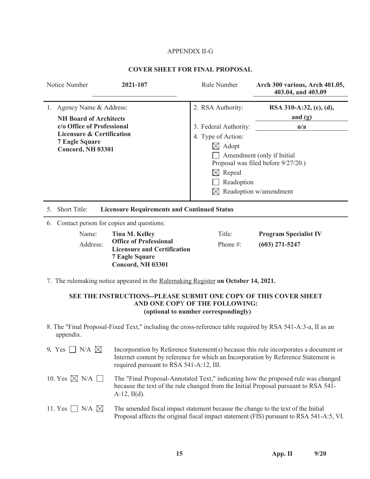# APPENDIX II-G

# **COVER SHEET FOR FINAL PROPOSAL**

|    | Notice Number                                                      | 2021-107                                                                                                                 | Rule Number           | Arch 300 various, Arch 401.05,<br>403.04, and 403.09 |
|----|--------------------------------------------------------------------|--------------------------------------------------------------------------------------------------------------------------|-----------------------|------------------------------------------------------|
|    | 1. Agency Name & Address:<br><b>NH Board of Architects</b>         |                                                                                                                          | 2. RSA Authority:     | RSA 310-A:32, (c), (d),<br>and $(g)$                 |
|    | c/o Office of Professional                                         |                                                                                                                          | 3. Federal Authority: | n/a                                                  |
|    | <b>Licensure &amp; Certification</b><br><b>7 Eagle Square</b>      |                                                                                                                          | 4. Type of Action:    |                                                      |
|    | Concord, NH 03301                                                  |                                                                                                                          | $\boxtimes$ Adopt     |                                                      |
|    |                                                                    |                                                                                                                          |                       | Amendment (only if Initial                           |
|    |                                                                    |                                                                                                                          |                       | Proposal was filed before 9/27/20.)                  |
|    |                                                                    |                                                                                                                          | $\boxtimes$ Repeal    |                                                      |
|    |                                                                    |                                                                                                                          | Readoption            |                                                      |
|    |                                                                    |                                                                                                                          |                       | Readoption w/amendment                               |
| 5. | Short Title:<br><b>Licensure Requirements and Continued Status</b> |                                                                                                                          |                       |                                                      |
|    |                                                                    | 6. Contact person for copies and questions:                                                                              |                       |                                                      |
|    | Name:                                                              | <b>Tina M. Kelley</b>                                                                                                    | Title:                | <b>Program Specialist IV</b>                         |
|    | Address:                                                           | <b>Office of Professional</b><br><b>Licensure and Certification</b><br><b>7 Eagle Square</b><br><b>Concord, NH 03301</b> | Phone#:               | $(603)$ 271-5247                                     |
|    |                                                                    | 7. The rulemaking notice appeared in the Rulemaking Register on October 14, 2021.                                        |                       |                                                      |
|    |                                                                    | SEE THE INSTRUCTIONS--PLEASE SUBMIT ONE COPY OF THIS COVER SHEET                                                         |                       |                                                      |

# **AND ONE COP**Y **OF THE FOLLOWING: (optional to number correspondingly)**

8. The "Final Proposal-Fixed Text," including the cross-reference table required by RSA 541-A:3-a, II as an appendix.

| 9. Yes $\Box$ N/A $\boxtimes$  | Incorporation by Reference Statement(s) because this rule incorporates a document or<br>Internet content by reference for which an Incorporation by Reference Statement is<br>required pursuant to RSA 541-A:12, III. |
|--------------------------------|-----------------------------------------------------------------------------------------------------------------------------------------------------------------------------------------------------------------------|
| 10. Yes $\boxtimes$ N/A $\Box$ | The "Final Proposal-Annotated Text," indicating how the proposed rule was changed<br>because the text of the rule changed from the Initial Proposal pursuant to RSA 541-<br>$A:12$ , $II(d)$ .                        |
| 11. Yes $\Box$ N/A $\boxtimes$ | The amended fiscal impact statement because the change to the text of the Initial<br>Proposal affects the original fiscal impact statement (FIS) pursuant to RSA 541-A:5, VI.                                         |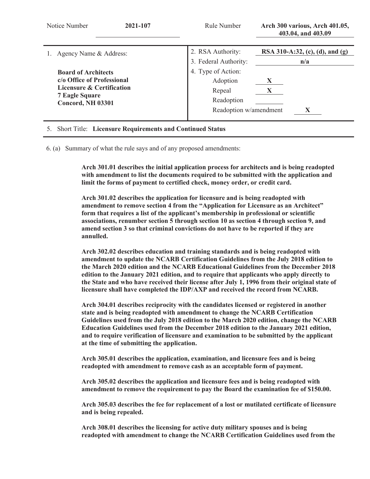| Notice Number<br>2021-107                                                                                                                  | Rule Number                                                                      | Arch 300 various, Arch 401.05,<br>403.04, and 403.09 |
|--------------------------------------------------------------------------------------------------------------------------------------------|----------------------------------------------------------------------------------|------------------------------------------------------|
| Agency Name & Address:                                                                                                                     | 2. RSA Authority:<br>3. Federal Authority:                                       | RSA 310-A:32, (c), (d), and (g)<br>n/a               |
| <b>Board of Architects</b><br>c/o Office of Professional<br>Licensure & Certification<br><b>7 Eagle Square</b><br><b>Concord, NH 03301</b> | 4. Type of Action:<br>Adoption<br>Repeal<br>Readoption<br>Readoption w/amendment | $\mathbf{X}$                                         |

#### 5. Short Title: **Licensure Requirements and Continued Status**

6. (a) Summary of what the rule says and of any proposed amendments:

**Arch 301.01 describes the initial application process for architects and is being readopted with amendment to list the documents required to be submitted with the application and limit the forms of payment to certified check, money order, or credit card.** 

**Arch 301.02 describes the application for licensure and is being readopted with amendment to remove section 4 from the "Application for Licensure as an Architect" form that requires a list of the applicant's membership in professional or scientific associations, renumber section 5 through section 10 as section 4 through section 9, and amend section 3 so that criminal convictions do not have to be reported if they are annulled.** 

**Arch 302.02 describes education and training standards and is being readopted with amendment to update the NCARB Certification Guidelines from the July 2018 edition to the March 2020 edition and the NCARB Educational Guidelines from the December 2018 edition to the January 2021 edition, and to require that applicants who apply directly to the State and who have received their license after July 1, 1996 from their original state of licensure shall have completed the IDP/AXP and received the record from NCARB.** 

**Arch 304.01 describes reciprocity with the candidates licensed or registered in another state and is being readopted with amendment to change the NCARB Certification Guidelines used from the July 2018 edition to the March 2020 edition, change the NCARB Education Guidelines used from the December 2018 edition to the January 2021 edition, and to require verification of licensure and examination to be submitted by the applicant at the time of submitting the application.** 

**Arch 305.01 describes the application, examination, and licensure fees and is being readopted with amendment to remove cash as an acceptable form of payment.** 

**Arch 305.02 describes the application and licensure fees and is being readopted with amendment to remove the requirement to pay the Board the examination fee of \$150.00.** 

**Arch 305.03 describes the fee for replacement of a lost or mutilated certificate of licensure and is being repealed.** 

**Arch 308.01 describes the licensing for active duty military spouses and is being readopted with amendment to change the NCARB Certification Guidelines used from the**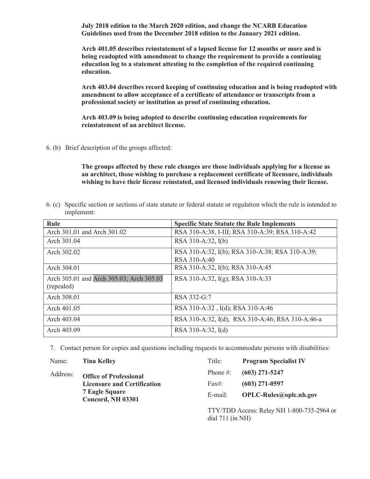**July 2018 edition to the March 2020 edition, and change the NCARB Education Guidelines used from the December 2018 edition to the January 2021 edition.** 

**Arch 401.05 describes reinstatement of a lapsed license for 12 months or more and is being readopted with amendment to change the requirement to provide a continuing education log to a statement attesting to the completion of the required continuing education.** 

**Arch 403.04 describes record keeping of continuing education and is being readopted with amendment to allow acceptance of a certificate of attendance or transcripts from a professional society or institution as proof of continuing education.** 

**Arch 403.09 is being adopted to describe continuing education requirements for reinstatement of an architect license.** 

6. (b) Brief description of the groups affected:

**The groups affected by these rule changes are those individuals applying for a license as an architect, those wishing to purchase a replacement certificate of licensure, individuals wishing to have their license reinstated, and licensed individuals renewing their license.** 

6. (c) Specific section or sections of state statute or federal statute or regulation which the rule is intended to implement:

| Rule                                     | <b>Specific State Statute the Rule Implements</b> |
|------------------------------------------|---------------------------------------------------|
| Arch 301.01 and Arch 301.02              | RSA 310-A:38, I-III; RSA 310-A:39; RSA 310-A:42   |
| Arch 301.04                              | RSA 310-A:32, I(b)                                |
| Arch 302.02                              | RSA 310-A:32, I(b); RSA 310-A:38; RSA 310-A:39;   |
|                                          | RSA 310-A:40                                      |
| Arch 304.01                              | RSA 310-A:32, I(b); RSA 310-A:45                  |
| Arch 305.01 and Arch 305.03; Arch 305.03 | RSA 310-A:32, I(g); RSA 310-A:33                  |
| (repealed)                               |                                                   |
| Arch 308.01                              | RSA 332-G:7                                       |
| Arch 401.05                              | RSA 310-A:32, I(d); RSA 310-A:46                  |
| Arch 403.04                              | RSA 310-A:32, I(d); RSA 310-A:46; RSA 310-A:46-a  |
| Arch 403.09                              | RSA 310-A:32, I(d)                                |

7. Contact person for copies and questions including requests to accommodate persons with disabilities:

Name: **Tina Kelley** 

Address: **Office of Professional Licensure and Certification 7 Eagle Square Concord, NH 03301** 

| Title:   | <b>Program Specialist IV</b> |
|----------|------------------------------|
| Phone #: | $(603)$ 271-5247             |
| Fax#:    | $(603)$ 271-0597             |
| E-mail:  | OPLC-Rules@oplc.nh.gov       |
|          |                              |

TTY/TDD Access: Relay NH 1-800-735-2964 or dial 711 (in NH)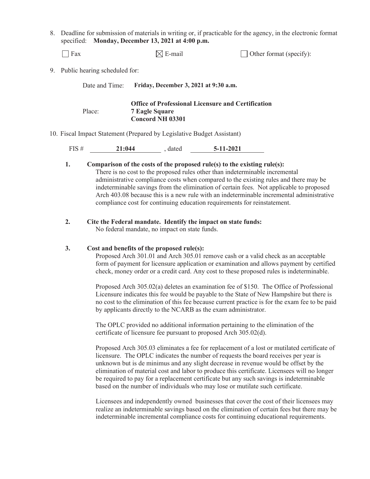8. Deadline for submission of materials in writing or, if practicable for the agency, in the electronic format specified: **Monday, December 13, 2021 at 4:00 p.m.**

| Fax                              | $\boxtimes$ E-mail                                                                                            | $\Box$ Other format (specify): |
|----------------------------------|---------------------------------------------------------------------------------------------------------------|--------------------------------|
| 9. Public hearing scheduled for: |                                                                                                               |                                |
| Date and Time:                   | Friday, December 3, 2021 at 9:30 a.m.                                                                         |                                |
| Place:                           | <b>Office of Professional Licensure and Certification</b><br><b>7 Eagle Square</b><br><b>Concord NH 03301</b> |                                |

#### 10. Fiscal Impact Statement (Prepared by Legislative Budget Assistant)

| FIS# | 21:044 | dated | $5 - 11 - 2021$<br>______ |
|------|--------|-------|---------------------------|
|      |        |       |                           |

#### **1. Comparison of the costs of the proposed rule(s) to the existing rule(s):**

There is no cost to the proposed rules other than indeterminable incremental administrative compliance costs when compared to the existing rules and there may be indeterminable savings from the elimination of certain fees. Not applicable to proposed Arch 403.08 because this is a new rule with an indeterminable incremental administrative compliance cost for continuing education requirements for reinstatement.

## **2. Cite the Federal mandate. Identify the impact on state funds:**

No federal mandate, no impact on state funds.

## **3. Cost and benefits of the proposed rule(s):**

Proposed Arch 301.01 and Arch 305.01 remove cash or a valid check as an acceptable form of payment for licensure application or examination and allows payment by certified check, money order or a credit card. Any cost to these proposed rules is indeterminable.

Proposed Arch 305.02(a) deletes an examination fee of \$150. The Office of Professional Licensure indicates this fee would be payable to the State of New Hampshire but there is no cost to the elimination of this fee because current practice is for the exam fee to be paid by applicants directly to the NCARB as the exam administrator.

The OPLC provided no additional information pertaining to the elimination of the certificate of licensure fee pursuant to proposed Arch 305.02(d).

Proposed Arch 305.03 eliminates a fee for replacement of a lost or mutilated certificate of licensure. The OPLC indicates the number of requests the board receives per year is unknown but is de minimus and any slight decrease in revenue would be offset by the elimination of material cost and labor to produce this certificate. Licensees will no longer be required to pay for a replacement certificate but any such savings is indeterminable based on the number of individuals who may lose or mutilate such certificate.

Licensees and independently owned businesses that cover the cost of their licensees may realize an indeterminable savings based on the elimination of certain fees but there may be indeterminable incremental compliance costs for continuing educational requirements.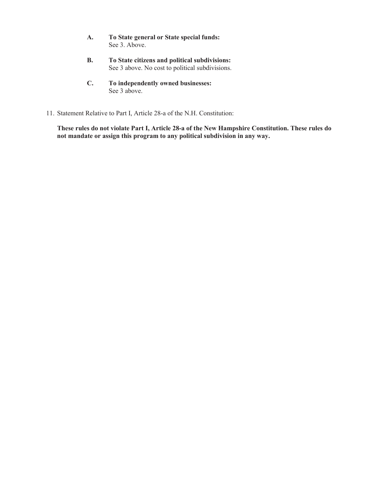- **A. To State general or State special funds:**  See 3. Above.
- **B. To State citizens and political subdivisions:**  See 3 above. No cost to political subdivisions.
- **C. To independently owned businesses:**  See 3 above.
- 11. Statement Relative to Part I, Article 28-a of the N.H. Constitution:

 **These rules do not violate Part I, Article 28-a of the New Hampshire Constitution. These rules do not mandate or assign this program to any political subdivision in any way.**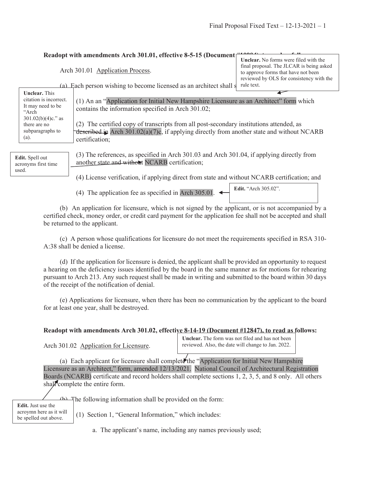**Edit.** "Arch 305.02".

#### **Readopt with amendments Arch 301.01, effective 8-5-15 (Document**

Arch 301.01 Application Process.

**Unclear.** No forms were filed with the final proposal. The JLCAR is being asked to approve forms that have not been reviewed by OLS for consistency with the

(a) Each person wishing to become licensed as an architect shall  $s$  rule text.

| <b>Unclear.</b> This   |                                                                                               |
|------------------------|-----------------------------------------------------------------------------------------------|
| citation is incorrect. | (1) An an "Application for Initial New Hampshire Licensure as an Architect" form which        |
| It may need to be      | contains the information specified in Arch 301.02;                                            |
| "Arch                  |                                                                                               |
| $301.02(b)(4)c$ ." as  |                                                                                               |
| there are no           | (2) The certified copy of transcripts from all post-secondary institutions attended, as       |
| subparagraphs to       | described in Arch $301.02(a)(7)c$ , if applying directly from another state and without NCARB |
| (a).                   | certification;                                                                                |
|                        |                                                                                               |
|                        |                                                                                               |
| <b>Edit.</b> Spell out | (3) The references, as specified in Arch 301.03 and Arch 301.04, if applying directly from    |
| acronyms first time    | another state and without NCARB certification;                                                |
| used.                  |                                                                                               |

(4) License verification, if applying direct from state and without NCARB certification; and

(4) The application fee as specified in Arch 305.01.

 (b) An application for licensure, which is not signed by the applicant, or is not accompanied by a certified check, money order, or credit card payment for the application fee shall not be accepted and shall be returned to the applicant.

 (c) A person whose qualifications for licensure do not meet the requirements specified in RSA 310- A:38 shall be denied a license.

 (d) If the application for licensure is denied, the applicant shall be provided an opportunity to request a hearing on the deficiency issues identified by the board in the same manner as for motions for rehearing pursuant to Arch 213. Any such request shall be made in writing and submitted to the board within 30 days of the receipt of the notification of denial.

 (e) Applications for licensure, when there has been no communication by the applicant to the board for at least one year, shall be destroyed.

# **Readopt with amendments Arch 301.02, effective 8-14-19 (Document #12847), to read as follows:**

Arch 301.02 Application for Licensure.

**Unclear.** The form was not filed and has not been reviewed. Also, the date will change to Jan. 2022.

(a) Each applicant for licensure shall complete the "Application for Initial New Hampshire Licensure as an Architect," form, amended 12/13/2021. National Council of Architectural Registration Boards (NCARB) certificate and record holders shall complete sections 1, 2, 3, 5, and 8 only. All others shall complete the entire form.

**Edit.** Just use the acroymn here as it will be spelled out above.

 $\triangle$  The following information shall be provided on the form:

(1) Section 1, "General Information," which includes:

a. The applicant's name, including any names previously used;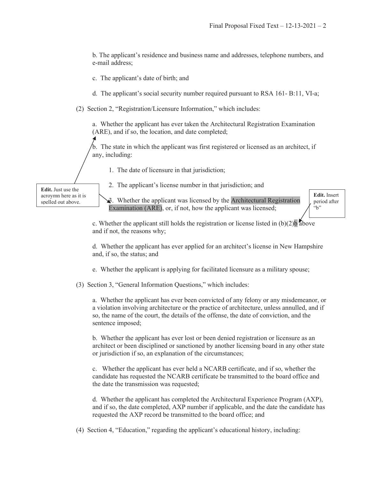b. The applicant's residence and business name and addresses, telephone numbers, and e-mail address;

c. The applicant's date of birth; and

d. The applicant's social security number required pursuant to RSA 161- B:11, VI-a;

(2) Section 2, "Registration/Licensure Information," which includes:

a. Whether the applicant has ever taken the Architectural Registration Examination (ARE), and if so, the location, and date completed;

b. The state in which the applicant was first registered or licensed as an architect, if any, including:

1. The date of licensure in that jurisdiction;

**Edit.** Just use the acroymn here as it is spelled out above.

2. The applicant's license number in that jurisdiction; and

3. Whether the applicant was licensed by the Architectural Registration Examination (ARE), or, if not, how the applicant was licensed;

**Edit.** Insert period after "b"

c. Whether the applicant still holds the registration or license listed in  $(b)(2)b$  above and if not, the reasons why;

d. Whether the applicant has ever applied for an architect's license in New Hampshire and, if so, the status; and

e. Whether the applicant is applying for facilitated licensure as a military spouse;

(3) Section 3, "General Information Questions," which includes:

a. Whether the applicant has ever been convicted of any felony or any misdemeanor, or a violation involving architecture or the practice of architecture, unless annulled, and if so, the name of the court, the details of the offense, the date of conviction, and the sentence imposed;

b. Whether the applicant has ever lost or been denied registration or licensure as an architect or been disciplined or sanctioned by another licensing board in any other state or jurisdiction if so, an explanation of the circumstances;

c. Whether the applicant has ever held a NCARB certificate, and if so, whether the candidate has requested the NCARB certificate be transmitted to the board office and the date the transmission was requested;

d. Whether the applicant has completed the Architectural Experience Program (AXP), and if so, the date completed, AXP number if applicable, and the date the candidate has requested the AXP record be transmitted to the board office; and

(4) Section 4, "Education," regarding the applicant's educational history, including: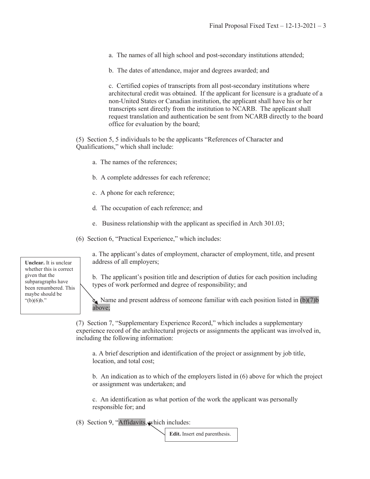a. The names of all high school and post-secondary institutions attended;

b. The dates of attendance, major and degrees awarded; and

c. Certified copies of transcripts from all post-secondary institutions where architectural credit was obtained. If the applicant for licensure is a graduate of a non-United States or Canadian institution, the applicant shall have his or her transcripts sent directly from the institution to NCARB. The applicant shall request translation and authentication be sent from NCARB directly to the board office for evaluation by the board;

(5) Section 5, 5 individuals to be the applicants "References of Character and Qualifications," which shall include:

- a. The names of the references;
- b. A complete addresses for each reference;
- c. A phone for each reference;
- d. The occupation of each reference; and
- e. Business relationship with the applicant as specified in Arch 301.03;
- (6) Section 6, "Practical Experience," which includes:

**Unclear.** It is unclear whether this is correct given that the subparagraphs have been renumbered. This maybe should be "(b)(6)b."

a. The applicant's dates of employment, character of employment, title, and present address of all employers;

b. The applicant's position title and description of duties for each position including types of work performed and degree of responsibility; and

Name and present address of someone familiar with each position listed in  $(b)(7)b$ above;

(7) Section 7, "Supplementary Experience Record," which includes a supplementary experience record of the architectural projects or assignments the applicant was involved in, including the following information:

a. A brief description and identification of the project or assignment by job title, location, and total cost;

b. An indication as to which of the employers listed in (6) above for which the project or assignment was undertaken; and

c. An identification as what portion of the work the applicant was personally responsible for; and

(8) Section 9, "Affidavits, which includes:

**Edit.** Insert end parenthesis.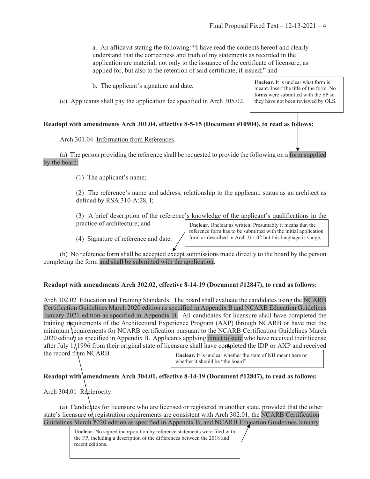a. An affidavit stating the following: "I have read the contents hereof and clearly understand that the correctness and truth of my statements as recorded in the application are material, not only to the issuance of the certificate of licensure, as applied for, but also to the retention of said certificate, if issued;" and

b. The applicant's signature and date.

(c) Applicants shall pay the application fee specified in Arch 305.02.

## **Readopt with amendments Arch 301.04, effective 8-5-15 (Document #10904), to read as follows:**

## Arch 301.04 Information from References.

 (a) The person providing the reference shall be requested to provide the following on a form supplied by the board:

(1) The applicant's name;

(2) The reference's name and address, relationship to the applicant, status as an architect as defined by RSA 310-A:28, I;

(3) A brief description of the reference's knowledge of the applicant's qualifications in the practice of architecture; and

(4) Signature of reference and date.

**Unclear.** Unclear as written. Presumably it means that the reference form has to be submitted with the initial application form as described in Arch 301.02 but this language is vauge.

 (b) No reference form shall be accepted except submissions made directly to the board by the person completing the form and shall be submitted with the application.

## **Readopt with amendments Arch 302.02, effective 8-14-19 (Document #12847), to read as follows:**

Arch 302.02 Education and Training Standards. The board shall evaluate the candidates using the NCARB Certification Guidelines March 2020 edition as specified in Appendix B and NCARB Education Guidelines January 2021 edition as specified in Appendix B. All candidates for licensure shall have completed the training requirements of the Architectural Experience Program (AXP) through NCARB or have met the minimum requirements for NCARB certification pursuant to the NCARB Certification Guidelines March 2020 edition as specified in Appendix B. Applicants applying direct to state who have received their license after July 1, 1996 from their original state of licensure shall have completed the IDP or AXP and received

the record from NCARB.

**Unclear.** It is unclear whether the state of NH meant here or whether it should be "the board".

# Readopt with amendments Arch 304.01, effective 8-14-19 (Document #12847), to read as follows:

# Arch 304.01 Reciprocity.

 (a) Candidates for licensure who are licensed or registered in another state, provided that the other state's licensure of registration requirements are consistent with Arch 302.01, the NCARB Certification Guidelines March 2020 edition as specified in Appendix B, and NCARB Education Guidelines January

> **Unclear.** No signed incorporation by reference statements were filed with the FP, including a description of the differences between the 2018 and recent editions.

**Unclear.** It is unclear what form is meant. Insert the title of the form. No forms were submitted with the FP so they have not been reviewed by OLS.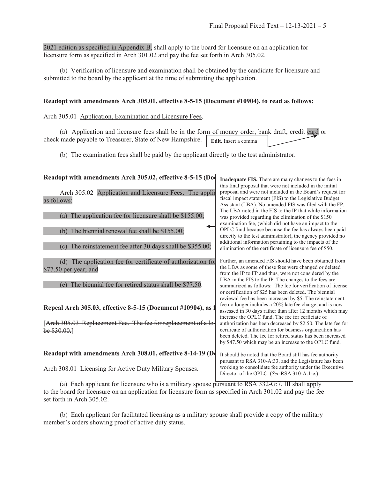2021 edition as specified in Appendix B, shall apply to the board for licensure on an application for licensure form as specified in Arch 301.02 and pay the fee set forth in Arch 305.02.

 (b) Verification of licensure and examination shall be obtained by the candidate for licensure and submitted to the board by the applicant at the time of submitting the application.

#### **Readopt with amendments Arch 305.01, effective 8-5-15 (Document #10904), to read as follows:**

Arch 305.01 Application, Examination and Licensure Fees.

 (a) Application and licensure fees shall be in the form of money order, bank draft, credit card or check made payable to Treasurer, State of New Hampshire. **Edit.** Insert a comma

(b) The examination fees shall be paid by the applicant directly to the test administrator.

| Readopt with amendments Arch 305.02, effective 8-5-15 (Doc                             | Inadequate FIS. There are many changes to the fees in                                                                                                                                                                                                                                                  |  |
|----------------------------------------------------------------------------------------|--------------------------------------------------------------------------------------------------------------------------------------------------------------------------------------------------------------------------------------------------------------------------------------------------------|--|
| Arch 305.02 Application and Licensure Fees. The applic<br>as follows:                  | this final proposal that were not included in the initial<br>proposal and were not included in the Board's request for<br>fiscal impact statement (FIS) to the Legislative Budget<br>Assistant (LBA). No amended FIS was filed with the FP.                                                            |  |
| The application fee for licensure shall be \$155.00;<br>(a)                            | The LBA noted in the FIS to the IP that while information<br>was provided regarding the elimination of the \$150<br>examination fee, (which did not have an impact to the                                                                                                                              |  |
| The biennial renewal fee shall be \$155.00;<br>(b)                                     | OPLC fund because because the fee has always been paid<br>directly to the test administrator), the agency provided no<br>additional information pertaining to the impacts of the                                                                                                                       |  |
| The reinstatement fee after 30 days shall be \$355.00;<br>(c)                          | elimination of the certificate of licensure fee of \$50.                                                                                                                                                                                                                                               |  |
| (d) The application fee for certificate of authorization for<br>$$77.50$ per year; and | Further, an amended FIS should have been obtained from<br>the LBA as some of these fees were changed or deleted<br>from the IP to FP and thus, were not considered by the<br>LBA in the FIS to the IP. The changes to the fees are                                                                     |  |
| The biennial fee for retired status shall be \$77.50.                                  | summarized as follows: The fee for verification of license<br>or certification of \$25 has been deleted. The biennial<br>reviewal fee has been increased by \$5. The reinstatement                                                                                                                     |  |
| Repeal Arch 305.03, effective 8-5-15 (Document #10904), as f                           | fee no longer includes a 20% late fee charge, and is now<br>assessed in 30 days rather than after 12 months which may                                                                                                                                                                                  |  |
| [Arch 305.03 Replacement Fee. The fee for replacement of a los<br>be $$30.00.]$        | increase the OPLC fund. The fee for cerficiate of<br>authorization has been decreased by \$2.50. The late fee for<br>cerificate of authorization for business organization has<br>been deleted. The fee for retired status has been increased<br>by \$47.50 which may be an increase to the OPLC fund. |  |
| Readopt with amendments Arch 308.01, effective 8-14-19 (De                             | It should be noted that the Board still has fee authority<br>purusant to RSA 310-A:33, and the Legislature has been                                                                                                                                                                                    |  |
| Arch 308.01 Licensing for Active Duty Military Spouses.                                | working to consolidate fee authority under the Executive<br>Director of the OPLC. (See RSA 310-A:1-e.).                                                                                                                                                                                                |  |
|                                                                                        |                                                                                                                                                                                                                                                                                                        |  |

 (a) Each applicant for licensure who is a military spouse pursuant to RSA 332-G:7, III shall apply to the board for licensure on an application for licensure form as specified in Arch 301.02 and pay the fee set forth in Arch 305.02.

 (b) Each applicant for facilitated licensing as a military spouse shall provide a copy of the military member's orders showing proof of active duty status.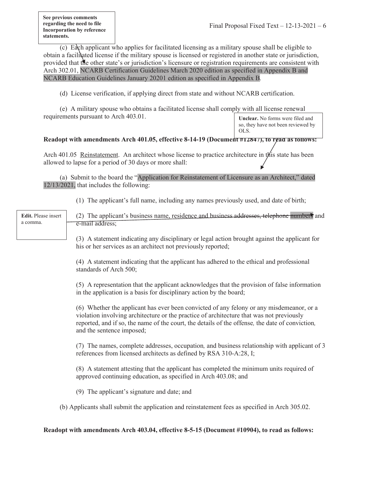(c) Each applicant who applies for facilitated licensing as a military spouse shall be eligible to obtain a facilitated license if the military spouse is licensed or registered in another state or jurisdiction, provided that the other state's or jurisdiction's licensure or registration requirements are consistent with Arch 302.01, NCARB Certification Guidelines March 2020 edition as specified in Appendix B and NCARB Education Guidelines January 20201 edition as specified in Appendix B*.*

(d) License verification, if applying direct from state and without NCARB certification.

 (e) A military spouse who obtains a facilitated license shall comply with all license renewal requirements pursuant to Arch 403.01.

**Unclear.** No forms were filed and so, they have not been reviewed by OLS.

# Readopt with amendments Arch 401.05, effective 8-14-19 (Document #12847), to read as follows:

Arch 401.05 Reinstatement. An architect whose license to practice architecture in this state has been allowed to lapse for a period of 30 days or more shall:

 (a) Submit to the board the "Application for Reinstatement of Licensure as an Architect," dated 12/13/2021, that includes the following:

(1) The applicant's full name, including any names previously used, and date of birth;

| Edit. Please insert<br>a comma. | (2) The applicant's business name, residence and business addresses, telephone numbers and<br>e-mail address;                                                                                                                                                                                                                                                                                                                                                                                                                                                                                                                                                                                                                                              |
|---------------------------------|------------------------------------------------------------------------------------------------------------------------------------------------------------------------------------------------------------------------------------------------------------------------------------------------------------------------------------------------------------------------------------------------------------------------------------------------------------------------------------------------------------------------------------------------------------------------------------------------------------------------------------------------------------------------------------------------------------------------------------------------------------|
|                                 | (3) A statement indicating any disciplinary or legal action brought against the applicant for<br>his or her services as an architect not previously reported;                                                                                                                                                                                                                                                                                                                                                                                                                                                                                                                                                                                              |
|                                 | (4) A statement indicating that the applicant has adhered to the ethical and professional<br>standards of Arch 500;                                                                                                                                                                                                                                                                                                                                                                                                                                                                                                                                                                                                                                        |
|                                 | (5) A representation that the applicant acknowledges that the provision of false information<br>in the application is a basis for disciplinary action by the board;                                                                                                                                                                                                                                                                                                                                                                                                                                                                                                                                                                                        |
|                                 | (6) Whether the applicant has ever been convicted of any felony or any misdemeanor, or a<br>violation involving architecture or the practice of architecture that was not previously<br>reported, and if so, the name of the court, the details of the offense, the date of conviction,<br>and the sentence imposed;                                                                                                                                                                                                                                                                                                                                                                                                                                       |
|                                 | (7) The names, complete addresses, occupation, and business relationship with applicant of 3<br>references from licensed architects as defined by RSA 310-A:28, I;                                                                                                                                                                                                                                                                                                                                                                                                                                                                                                                                                                                         |
|                                 | (8) A statement attesting that the applicant has completed the minimum units required of<br>approved continuing education, as specified in Arch 403.08; and                                                                                                                                                                                                                                                                                                                                                                                                                                                                                                                                                                                                |
|                                 | (9) The applicant's signature and date; and                                                                                                                                                                                                                                                                                                                                                                                                                                                                                                                                                                                                                                                                                                                |
|                                 | (b) Applicants shall submit the application and reinstatement fees as specified in Arch 305.02.                                                                                                                                                                                                                                                                                                                                                                                                                                                                                                                                                                                                                                                            |
|                                 | $\mathbf{1}$ $\mathbf{1}$ $\mathbf{1}$ $\mathbf{1}$ $\mathbf{1}$ $\mathbf{1}$ $\mathbf{1}$ $\mathbf{1}$ $\mathbf{1}$ $\mathbf{1}$ $\mathbf{1}$ $\mathbf{1}$ $\mathbf{1}$ $\mathbf{1}$ $\mathbf{1}$ $\mathbf{1}$ $\mathbf{1}$ $\mathbf{1}$ $\mathbf{1}$ $\mathbf{1}$ $\mathbf{1}$ $\mathbf{1}$ $\mathbf{1}$ $\mathbf{1}$ $\mathbf{$<br>$0 \leq 1 \leq n$ $\downarrow$ $\uparrow$ $\uparrow$ $\uparrow$ $\uparrow$ $\uparrow$ $\uparrow$ $\uparrow$ $\uparrow$ $\uparrow$ $\uparrow$ $\uparrow$ $\uparrow$ $\uparrow$ $\uparrow$ $\uparrow$ $\uparrow$ $\uparrow$ $\uparrow$ $\uparrow$ $\uparrow$ $\uparrow$ $\uparrow$ $\uparrow$ $\uparrow$ $\uparrow$ $\uparrow$ $\uparrow$ $\uparrow$ $\uparrow$ $\uparrow$ $\uparrow$ $\uparrow$ $\uparrow$ $\uparrow$ |

**Readopt with amendments Arch 403.04, effective 8-5-15 (Document #10904), to read as follows:**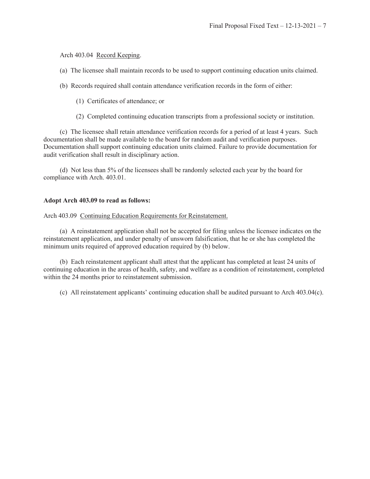## Arch 403.04 Record Keeping.

- (a) The licensee shall maintain records to be used to support continuing education units claimed.
- (b) Records required shall contain attendance verification records in the form of either:
	- (1) Certificates of attendance; or
	- (2) Completed continuing education transcripts from a professional society or institution.

 (c) The licensee shall retain attendance verification records for a period of at least 4 years. Such documentation shall be made available to the board for random audit and verification purposes. Documentation shall support continuing education units claimed. Failure to provide documentation for audit verification shall result in disciplinary action.

 (d) Not less than 5% of the licensees shall be randomly selected each year by the board for compliance with Arch. 403.01.

#### **Adopt Arch 403.09 to read as follows:**

Arch 403.09 Continuing Education Requirements for Reinstatement.

 (a) A reinstatement application shall not be accepted for filing unless the licensee indicates on the reinstatement application, and under penalty of unsworn falsification, that he or she has completed the minimum units required of approved education required by (b) below.

 (b) Each reinstatement applicant shall attest that the applicant has completed at least 24 units of continuing education in the areas of health, safety, and welfare as a condition of reinstatement, completed within the 24 months prior to reinstatement submission.

(c) All reinstatement applicants' continuing education shall be audited pursuant to Arch 403.04(c).